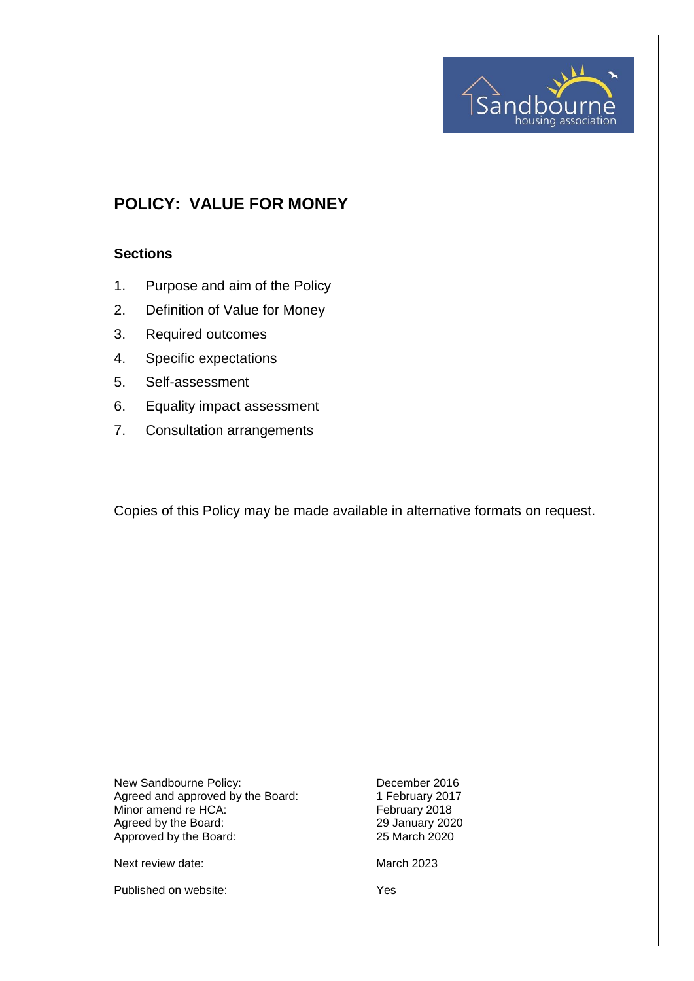

# **POLICY: VALUE FOR MONEY**

# **Sections**

- 1. Purpose and aim of the Policy
- 2. Definition of Value for Money
- 3. Required outcomes
- 4. Specific expectations
- 5. Self-assessment
- 6. Equality impact assessment
- 7. Consultation arrangements

Copies of this Policy may be made available in alternative formats on request.

New Sandbourne Policy: December 2016<br>Agreed and approved by the Board: 1 February 2017 Agreed and approved by the Board: 1 February 2018<br>Minor amend re HCA: February 2018 Minor amend re HCA:<br>
Agreed by the Board:<br>
29 January 2020 Agreed by the Board: 29 January 2024<br>Approved by the Board: 25 March 2020 Approved by the Board:

Next review date: March 2023

Published on website: Yes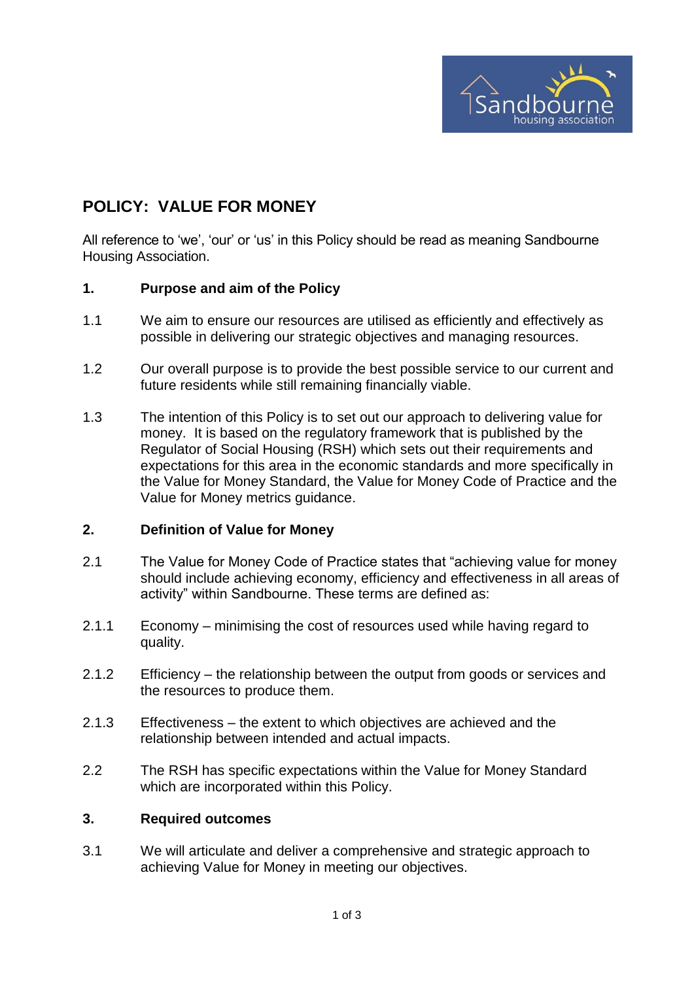

# **POLICY: VALUE FOR MONEY**

All reference to 'we', 'our' or 'us' in this Policy should be read as meaning Sandbourne Housing Association.

# **1. Purpose and aim of the Policy**

- 1.1 We aim to ensure our resources are utilised as efficiently and effectively as possible in delivering our strategic objectives and managing resources.
- 1.2 Our overall purpose is to provide the best possible service to our current and future residents while still remaining financially viable.
- 1.3 The intention of this Policy is to set out our approach to delivering value for money. It is based on the regulatory framework that is published by the Regulator of Social Housing (RSH) which sets out their requirements and expectations for this area in the economic standards and more specifically in the Value for Money Standard, the Value for Money Code of Practice and the Value for Money metrics guidance.

### **2. Definition of Value for Money**

- 2.1 The Value for Money Code of Practice states that "achieving value for money should include achieving economy, efficiency and effectiveness in all areas of activity" within Sandbourne. These terms are defined as:
- 2.1.1 Economy minimising the cost of resources used while having regard to quality.
- 2.1.2 Efficiency the relationship between the output from goods or services and the resources to produce them.
- 2.1.3 Effectiveness the extent to which objectives are achieved and the relationship between intended and actual impacts.
- 2.2 The RSH has specific expectations within the Value for Money Standard which are incorporated within this Policy.

#### **3. Required outcomes**

3.1 We will articulate and deliver a comprehensive and strategic approach to achieving Value for Money in meeting our objectives.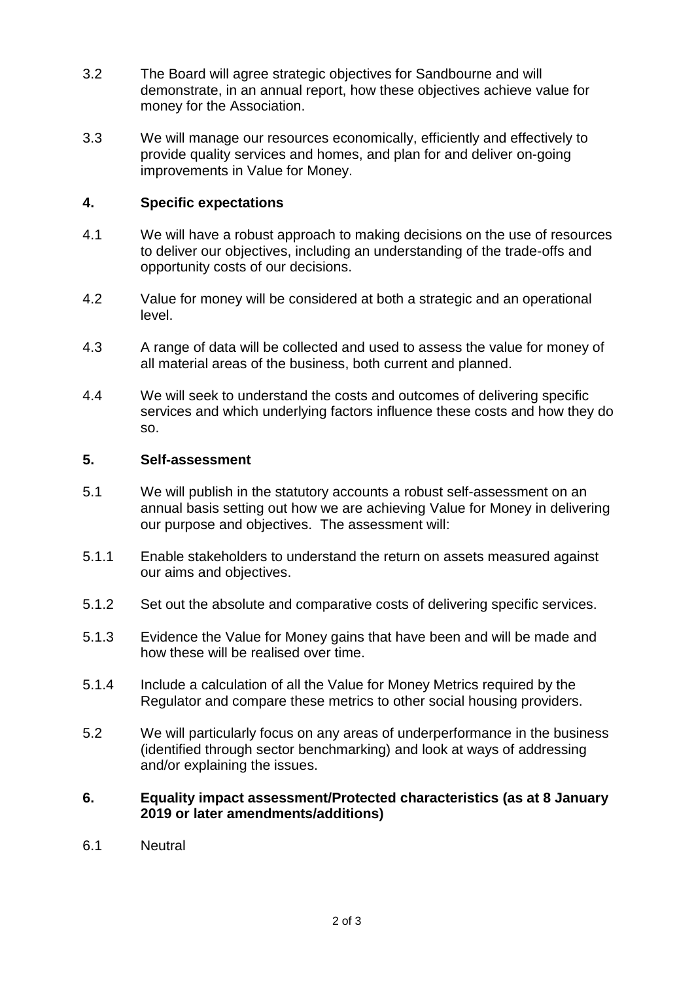- 3.2 The Board will agree strategic objectives for Sandbourne and will demonstrate, in an annual report, how these objectives achieve value for money for the Association.
- 3.3 We will manage our resources economically, efficiently and effectively to provide quality services and homes, and plan for and deliver on-going improvements in Value for Money.

# **4. Specific expectations**

- 4.1 We will have a robust approach to making decisions on the use of resources to deliver our objectives, including an understanding of the trade-offs and opportunity costs of our decisions.
- 4.2 Value for money will be considered at both a strategic and an operational level.
- 4.3 A range of data will be collected and used to assess the value for money of all material areas of the business, both current and planned.
- 4.4 We will seek to understand the costs and outcomes of delivering specific services and which underlying factors influence these costs and how they do so.

# **5. Self-assessment**

- 5.1 We will publish in the statutory accounts a robust self-assessment on an annual basis setting out how we are achieving Value for Money in delivering our purpose and objectives. The assessment will:
- 5.1.1 Enable stakeholders to understand the return on assets measured against our aims and objectives.
- 5.1.2 Set out the absolute and comparative costs of delivering specific services.
- 5.1.3 Evidence the Value for Money gains that have been and will be made and how these will be realised over time.
- 5.1.4 Include a calculation of all the Value for Money Metrics required by the Regulator and compare these metrics to other social housing providers.
- 5.2 We will particularly focus on any areas of underperformance in the business (identified through sector benchmarking) and look at ways of addressing and/or explaining the issues.

# **6. Equality impact assessment/Protected characteristics (as at 8 January 2019 or later amendments/additions)**

6.1 Neutral